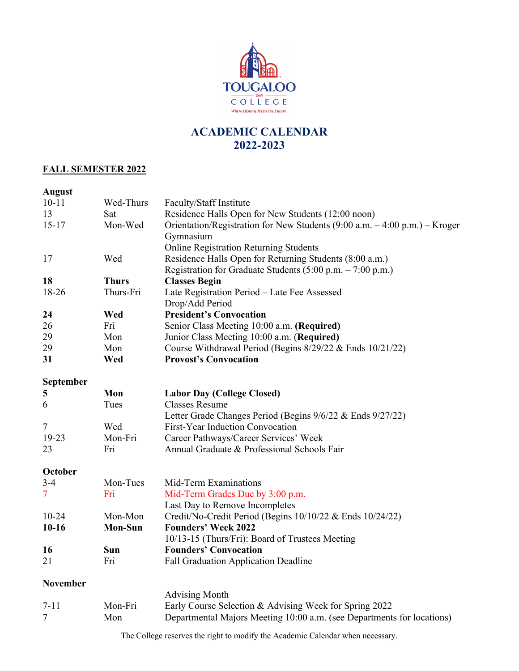

# **ACADEMIC CALENDAR 2022-2023**

## **FALL SEMESTER 2022**

| <b>August</b>            |                |                                                                                                                                                            |
|--------------------------|----------------|------------------------------------------------------------------------------------------------------------------------------------------------------------|
| $10 - 11$                | Wed-Thurs      | Faculty/Staff Institute                                                                                                                                    |
| 13                       | Sat            | Residence Halls Open for New Students (12:00 noon)                                                                                                         |
| $15 - 17$                | Mon-Wed        | Orientation/Registration for New Students $(9:00 \text{ a.m.} - 4:00 \text{ p.m.}) -$ Kroger<br>Gymnasium<br><b>Online Registration Returning Students</b> |
| 17                       | Wed            | Residence Halls Open for Returning Students (8:00 a.m.)<br>Registration for Graduate Students (5:00 p.m. - 7:00 p.m.)                                      |
| 18                       | <b>Thurs</b>   | <b>Classes Begin</b>                                                                                                                                       |
| 18-26                    | Thurs-Fri      | Late Registration Period - Late Fee Assessed<br>Drop/Add Period                                                                                            |
| 24                       | Wed            | <b>President's Convocation</b>                                                                                                                             |
| 26                       | Fri            | Senior Class Meeting 10:00 a.m. (Required)                                                                                                                 |
| 29                       | Mon            | Junior Class Meeting 10:00 a.m. (Required)                                                                                                                 |
| 29                       | Mon            | Course Withdrawal Period (Begins 8/29/22 & Ends 10/21/22)                                                                                                  |
| 31                       | Wed            | <b>Provost's Convocation</b>                                                                                                                               |
| September                |                |                                                                                                                                                            |
| 5                        | Mon            | <b>Labor Day (College Closed)</b>                                                                                                                          |
| 6                        | Tues           | <b>Classes Resume</b>                                                                                                                                      |
|                          |                | Letter Grade Changes Period (Begins 9/6/22 & Ends 9/27/22)                                                                                                 |
| 7                        | Wed            | First-Year Induction Convocation                                                                                                                           |
| 19-23                    | Mon-Fri        | Career Pathways/Career Services' Week                                                                                                                      |
| 23                       | Fri            | Annual Graduate & Professional Schools Fair                                                                                                                |
| October                  |                |                                                                                                                                                            |
| $3-4$                    | Mon-Tues       | Mid-Term Examinations                                                                                                                                      |
| $\overline{\mathcal{L}}$ | Fri            | Mid-Term Grades Due by 3:00 p.m.                                                                                                                           |
|                          |                | Last Day to Remove Incompletes                                                                                                                             |
| $10 - 24$                | Mon-Mon        | Credit/No-Credit Period (Begins 10/10/22 & Ends 10/24/22)                                                                                                  |
| $10-16$                  | <b>Mon-Sun</b> | <b>Founders' Week 2022</b><br>10/13-15 (Thurs/Fri): Board of Trustees Meeting                                                                              |
| 16                       | Sun            | <b>Founders' Convocation</b>                                                                                                                               |
| 21                       | Fri            | <b>Fall Graduation Application Deadline</b>                                                                                                                |
| <b>November</b>          |                |                                                                                                                                                            |
|                          |                | <b>Advising Month</b>                                                                                                                                      |
| $7 - 11$                 | Mon-Fri        | Early Course Selection & Advising Week for Spring 2022                                                                                                     |
| 7                        | Mon            | Departmental Majors Meeting 10:00 a.m. (see Departments for locations)                                                                                     |
|                          |                |                                                                                                                                                            |

The College reserves the right to modify the Academic Calendar when necessary.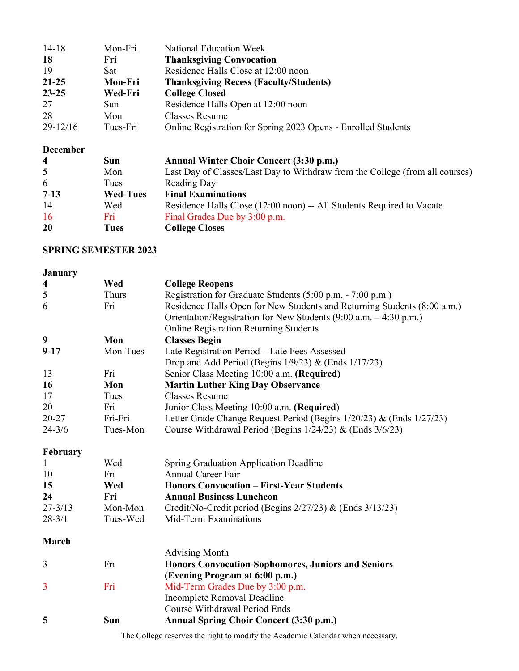| $14-18$      | Mon-Fri    | National Education Week                                       |
|--------------|------------|---------------------------------------------------------------|
| 18           | Fri        | <b>Thanksgiving Convocation</b>                               |
| 19           | <b>Sat</b> | Residence Halls Close at 12:00 noon                           |
| $21 - 25$    | Mon-Fri    | <b>Thanksgiving Recess (Faculty/Students)</b>                 |
| $23 - 25$    | Wed-Fri    | <b>College Closed</b>                                         |
| 27           | Sun        | Residence Halls Open at 12:00 noon                            |
| 28           | Mon        | <b>Classes Resume</b>                                         |
| $29 - 12/16$ | Tues-Fri   | Online Registration for Spring 2023 Opens - Enrolled Students |

#### **December**

| $\overline{\mathbf{4}}$ | Sun             | Annual Winter Choir Concert (3:30 p.m.)                                      |
|-------------------------|-----------------|------------------------------------------------------------------------------|
| 5                       | Mon             | Last Day of Classes/Last Day to Withdraw from the College (from all courses) |
| 6                       | Tues            | Reading Day                                                                  |
| $7-13$                  | <b>Wed-Tues</b> | <b>Final Examinations</b>                                                    |
| 14                      | Wed             | Residence Halls Close (12:00 noon) -- All Students Required to Vacate        |
| <b>16</b>               | Fri             | Final Grades Due by 3:00 p.m.                                                |
| 20                      | Tues            | <b>College Closes</b>                                                        |

## **SPRING SEMESTER 2023**

| <b>January</b>          |              |                                                                          |
|-------------------------|--------------|--------------------------------------------------------------------------|
| $\overline{\mathbf{4}}$ | Wed          | <b>College Reopens</b>                                                   |
| 5                       | <b>Thurs</b> | Registration for Graduate Students (5:00 p.m. - 7:00 p.m.)               |
| 6                       | Fri          | Residence Halls Open for New Students and Returning Students (8:00 a.m.) |
|                         |              | Orientation/Registration for New Students (9:00 a.m. - 4:30 p.m.)        |
|                         |              | <b>Online Registration Returning Students</b>                            |
| 9                       | Mon          | <b>Classes Begin</b>                                                     |
| $9 - 17$                | Mon-Tues     | Late Registration Period - Late Fees Assessed                            |
|                         |              | Drop and Add Period (Begins $1/9/23$ ) & (Ends $1/17/23$ )               |
| 13                      | Fri          | Senior Class Meeting 10:00 a.m. (Required)                               |
| 16                      | Mon          | <b>Martin Luther King Day Observance</b>                                 |
| 17                      | Tues         | <b>Classes Resume</b>                                                    |
| 20                      | Fri          | Junior Class Meeting 10:00 a.m. (Required)                               |
| 20-27                   | Fri-Fri      | Letter Grade Change Request Period (Begins 1/20/23) & (Ends 1/27/23)     |
| $24 - 3/6$              | Tues-Mon     | Course Withdrawal Period (Begins $1/24/23$ ) & (Ends $3/6/23$ )          |
| February                |              |                                                                          |
| 1                       | Wed          | Spring Graduation Application Deadline                                   |
| 10                      | Fri          | <b>Annual Career Fair</b>                                                |
| 15                      | Wed          | <b>Honors Convocation - First-Year Students</b>                          |
| 24                      | Fri          | <b>Annual Business Luncheon</b>                                          |
| $27 - 3/13$             | Mon-Mon      | Credit/No-Credit period (Begins 2/27/23) & (Ends 3/13/23)                |
| $28 - 3/1$              | Tues-Wed     | Mid-Term Examinations                                                    |
| March                   |              |                                                                          |
|                         |              | <b>Advising Month</b>                                                    |
| 3                       | Fri          | <b>Honors Convocation-Sophomores, Juniors and Seniors</b>                |
|                         |              | (Evening Program at 6:00 p.m.)                                           |
| 3                       | Fri          | Mid-Term Grades Due by 3:00 p.m.                                         |
|                         |              | Incomplete Removal Deadline                                              |
|                         |              | <b>Course Withdrawal Period Ends</b>                                     |
| 5                       | <b>Sun</b>   | Annual Spring Choir Concert (3:30 p.m.)                                  |
|                         |              |                                                                          |

The College reserves the right to modify the Academic Calendar when necessary.